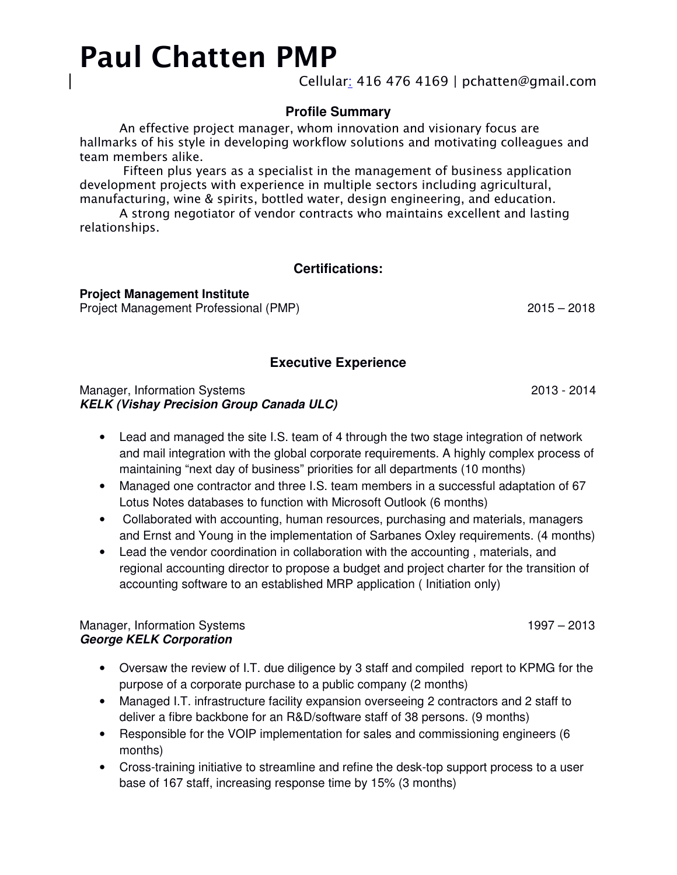# Paul Chatten PMP

Cellular: 416 476 4169 | pchatten@gmail.com

#### **Profile Summary**

An effective project manager, whom innovation and visionary focus are hallmarks of his style in developing workflow solutions and motivating colleagues and team members alike.

 Fifteen plus years as a specialist in the management of business application development projects with experience in multiple sectors including agricultural, manufacturing, wine & spirits, bottled water, design engineering, and education.

A strong negotiator of vendor contracts who maintains excellent and lasting relationships.

#### **Certifications:**

#### **Project Management Institute**

Project Management Professional (PMP) 2015 – 2018

#### **Executive Experience**

#### Manager, Information Systems 2013 - 2014 **KELK (Vishay Precision Group Canada ULC)**

- Lead and managed the site I.S. team of 4 through the two stage integration of network and mail integration with the global corporate requirements. A highly complex process of maintaining "next day of business" priorities for all departments (10 months)
- Managed one contractor and three I.S. team members in a successful adaptation of 67 Lotus Notes databases to function with Microsoft Outlook (6 months)
- Collaborated with accounting, human resources, purchasing and materials, managers and Ernst and Young in the implementation of Sarbanes Oxley requirements. (4 months)
- Lead the vendor coordination in collaboration with the accounting , materials, and regional accounting director to propose a budget and project charter for the transition of accounting software to an established MRP application ( Initiation only)

#### Manager, Information Systems 1997 – 2013 **George KELK Corporation**

- Oversaw the review of I.T. due diligence by 3 staff and compiled report to KPMG for the purpose of a corporate purchase to a public company (2 months)
- Managed I.T. infrastructure facility expansion overseeing 2 contractors and 2 staff to deliver a fibre backbone for an R&D/software staff of 38 persons. (9 months)
- Responsible for the VOIP implementation for sales and commissioning engineers (6 months)
- Cross-training initiative to streamline and refine the desk-top support process to a user base of 167 staff, increasing response time by 15% (3 months)